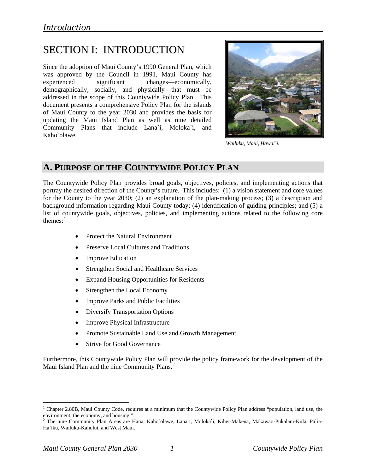# SECTION I: INTRODUCTION

Since the adoption of Maui County's 1990 General Plan, which was approved by the Council in 1991, Maui County has experienced significant changes—economically, demographically, socially, and physically—that must be addressed in the scope of this Countywide Policy Plan. This document presents a comprehensive Policy Plan for the islands of Maui County to the year 2030 and provides the basis for updating the Maui Island Plan as well as nine detailed Community Plans that include Lana`i, Moloka`i, and Kaho`olawe.



*Wailuku, Maui, Hawai`i.* 

# **A. PURPOSE OF THE COUNTYWIDE POLICY PLAN**

The Countywide Policy Plan provides broad goals, objectives, policies, and implementing actions that portray the desired direction of the County's future. This includes: (1) a vision statement and core values for the County to the year 2030; (2) an explanation of the plan-making process; (3) a description and background information regarding Maui County today; (4) identification of guiding principles; and (5) a list of countywide goals, objectives, policies, and implementing actions related to the following core themes: $<sup>1</sup>$  $<sup>1</sup>$  $<sup>1</sup>$ </sup>

- Protect the Natural Environment
- Preserve Local Cultures and Traditions
- Improve Education
- Strengthen Social and Healthcare Services
- Expand Housing Opportunities for Residents
- Strengthen the Local Economy
- Improve Parks and Public Facilities
- Diversify Transportation Options
- Improve Physical Infrastructure
- Promote Sustainable Land Use and Growth Management
- Strive for Good Governance

Furthermore, this Countywide Policy Plan will provide the policy framework for the development of the Maui Island Plan and the nine Community Plans.<sup>[2](#page-0-1)</sup>

 $\overline{a}$ 

<span id="page-0-0"></span><sup>&</sup>lt;sup>1</sup> Chapter 2.80B, Maui County Code, requires at a minimum that the Countywide Policy Plan address "population, land use, the environment, the economy, and housing."<br><sup>2</sup> The nine Community Plan Areas are Hana, Kaho`olawe, Lana`i, Moloka`i, Kihei-Makena, Makawao-Pukalani-Kula, Pa`ia-

<span id="page-0-1"></span>Ha`iku, Wailuku-Kahului, and West Maui.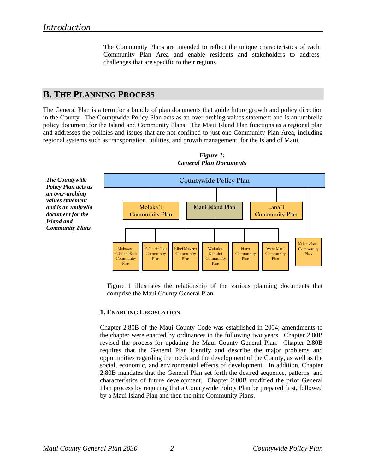The Community Plans are intended to reflect the unique characteristics of each Community Plan Area and enable residents and stakeholders to address challenges that are specific to their regions.

# **B. THE PLANNING PROCESS**

The General Plan is a term for a bundle of plan documents that guide future growth and policy direction in the County. The Countywide Policy Plan acts as an over-arching values statement and is an umbrella policy document for the Island and Community Plans. The Maui Island Plan functions as a regional plan and addresses the policies and issues that are not confined to just one Community Plan Area, including regional systems such as transportation, utilities, and growth management, for the Island of Maui.



*Figure 1: General Plan Documents* 

Figure 1 illustrates the relationship of the various planning documents that comprise the Maui County General Plan.

## **1. ENABLING LEGISLATION**

Chapter 2.80B of the Maui County Code was established in 2004; amendments to the chapter were enacted by ordinances in the following two years. Chapter 2.80B revised the process for updating the Maui County General Plan. Chapter 2.80B requires that the General Plan identify and describe the major problems and opportunities regarding the needs and the development of the County, as well as the social, economic, and environmental effects of development. In addition, Chapter 2.80B mandates that the General Plan set forth the desired sequence, patterns, and characteristics of future development. Chapter 2.80B modified the prior General Plan process by requiring that a Countywide Policy Plan be prepared first, followed by a Maui Island Plan and then the nine Community Plans.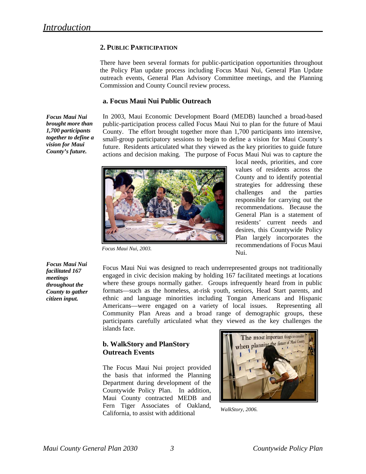# **2. PUBLIC PARTICIPATION**

There have been several formats for public-participation opportunities throughout the Policy Plan update process including Focus Maui Nui, General Plan Update outreach events, General Plan Advisory Committee meetings, and the Planning Commission and County Council review process.

#### **a. Focus Maui Nui Public Outreach**

*Focus Maui Nui brought more than 1,700 participants together to define a vision for Maui County's future.* 

In 2003, Maui Economic Development Board (MEDB) launched a broad-based public-participation process called Focus Maui Nui to plan for the future of Maui County. The effort brought together more than 1,700 participants into intensive, small-group participatory sessions to begin to define a vision for Maui County's future. Residents articulated what they viewed as the key priorities to guide future actions and decision making. The purpose of Focus Maui Nui was to capture the



*Focus Maui Nui, 2003.* 

local needs, priorities, and core values of residents across the County and to identify potential strategies for addressing these challenges and the parties responsible for carrying out the recommendations. Because the General Plan is a statement of residents' current needs and desires, this Countywide Policy Plan largely incorporates the recommendations of Focus Maui Nui.

*Focus Maui Nui facilitated 167 meetings throughout the County to gather citizen input.* 

Focus Maui Nui was designed to reach underrepresented groups not traditionally engaged in civic decision making by holding 167 facilitated meetings at locations where these groups normally gather. Groups infrequently heard from in public formats—such as the homeless, at-risk youth, seniors, Head Start parents, and ethnic and language minorities including Tongan Americans and Hispanic Americans—were engaged on a variety of local issues. Representing all Community Plan Areas and a broad range of demographic groups, these participants carefully articulated what they viewed as the key challenges the islands face.

# **b. WalkStory and PlanStory Outreach Events**

California, to assist with additional The Focus Maui Nui project provided the basis that informed the Planning Department during development of the Countywide Policy Plan. In addition, Maui County contracted MEDB and Fern Tiger Associates of Oakland,



*WalkStory, 2006.*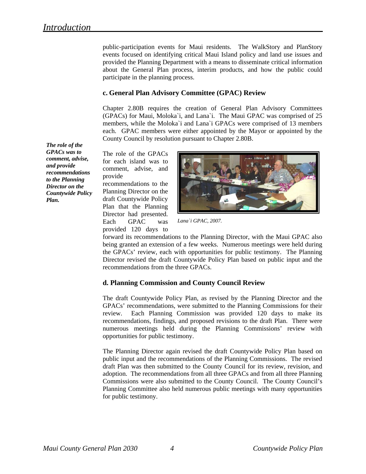public-participation events for Maui residents. The WalkStory and PlanStory events focused on identifying critical Maui Island policy and land use issues and provided the Planning Department with a means to disseminate critical information about the General Plan process, interim products, and how the public could participate in the planning process.

## **c. General Plan Advisory Committee (GPAC) Review**

Chapter 2.80B requires the creation of General Plan Advisory Committees (GPACs) for Maui, Moloka`i, and Lana`i. The Maui GPAC was comprised of 25 members, while the Moloka`i and Lana`i GPACs were comprised of 13 members each. GPAC members were either appointed by the Mayor or appointed by the County Council by resolution pursuant to Chapter 2.80B.

The role of the GPACs for each island was to comment, advise, and provide

recommendations to the Planning Director on the draft Countywide Policy Plan that the Planning Director had presented. Each GPAC was provided 120 days to



*Lana`i GPAC, 2007.* 

forward its recommendations to the Planning Director, with the Maui GPAC also being granted an extension of a few weeks. Numerous meetings were held during the GPACs' review, each with opportunities for public testimony. The Planning Director revised the draft Countywide Policy Plan based on publi c input and the recommendations from the three GPACs.

# d. Planning Commission and County Council Review

numerous meetings held during the Planning Commissions' review with pportunities for public testimony. o The draft Countywide Policy Plan, as revised by the Planning Director and the GPACs' recommendations, were submitted to the Planning Commissions for their review. Each Planning Commission was provided 120 days to make its recommendations, findings, and proposed revisions to the draft Plan. There were

Planning Committee also held numerous public meetings with many opportunities for public testimony. The Planning Director again revised the draft Countywide Policy Plan based on public input and the recommendations of the Planning Commissions. The revised draft Plan was then submitted to the County Council for its review, revision, and adoption. The recommendations from all three GPACs and from all three Planning Commissions were also submitted to the County Council. The County Council's

*The role of the GPACs was to comment, advise, and provide recommendations to the Planning Director on the Countywide Policy Plan.*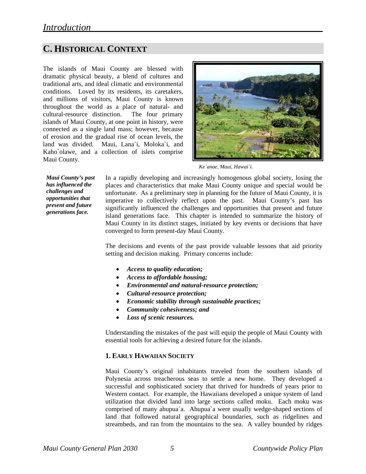# **C. HISTORICAL CONTEXT**

The islands of Maui County are blessed with dramatic physical beauty, a blend of cultures and traditional arts, and ideal climatic and environmental conditions. Loved by its residents, its caretakers, and millions of visitors, Maui County is known throughout the world as a place of natural- and cultural-resource distinction. The four primary islands of Maui County, at one point in history, were connected as a single land mass; however, because of erosion and the gradual rise of ocean levels, the land was divided. Maui, Lana`i, Moloka`i, and Kaho`olawe, and a collection of islets comprise Maui County.



*Ke`anae, Maui, Hawai`i.* 

*Maui County's past has influenced the challenges and opportunities that present and future generations face.* 

In a rapidly developing and increasingly homogenous global society, losing the places and characteristics that make Maui County unique and special would be unfortunate. As a preliminary step in planning for the future of Maui County, it is imperative to collectively reflect upon the past. Maui County's past has significantly influenced the challenges and opportunities that present and future island generations face. This chapter is intended to summarize the history of Maui County in its distinct stages, initiated by key events or decisions that have converged to form present-day Maui County.

The decisions and events of the past provide valuable lessons that aid priority setting and decision making. Primary concerns include:

- *Access to quality education;*
- *Access to affordable housing;*
- *Environmental and natural-resource protection;*
- *Cultural-resource protection;*
- *Economic stability through sustainable practices;*
- *Community cohesiveness; and*
- *Loss of scenic resources.*

Understanding the mistakes of the past will equip the people of Maui County with essential tools for achieving a desired future for the islands.

## **1. EARLY HAWAIIAN SOCIETY**

Maui County's original inhabitants traveled from the southern islands of Polynesia across treacherous seas to settle a new home. They developed a successful and sophisticated society that thrived for hundreds of years prior to Western contact. For example, the Hawaiians developed a unique system of land utilization that divided land into large sections called moku. Each moku was comprised of many ahupua`a. Ahupua`a were usually wedge-shaped sections of land that followed natural geographical boundaries, such as ridgelines and streambeds, and ran from the mountains to the sea. A valley bounded by ridges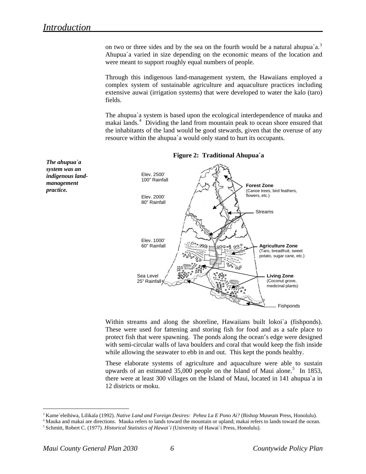*The ahupua`a system was an indigenous landmanagement practice.* 

on two or three sides and by the sea on the fourth would be a natural ahupua'a.<sup>[3](#page-5-0)</sup> Ahupua`a varied in size depending on the economic means of the location and were meant to support roughly equal numbers of people.

Through this indigenous land-management system, the Hawaiians employed a complex system of sustainable agriculture and aquaculture practices including extensive auwai (irrigation systems) that were developed to water the kalo (taro) fields.

The ahupua`a system is based upon the ecological interdependence of mauka and makai lands.<sup>[4](#page-5-1)</sup> Dividing the land from mountain peak to ocean shore ensured that the inhabitants of the land would be good stewards, given that the overuse of any resource within the ahupua`a would only stand to hurt its occupants.



#### **Figure 2: Traditional Ahupua`a**

Within streams and along the shoreline, Hawaiians built lokoi`a (fishponds). These were used for fattening and storing fish for food and as a safe place to protect fish that were spawning. The ponds along the ocean's edge were designed with semi-circular walls of lava boulders and coral that would keep the fish inside while allowing the seawater to ebb in and out. This kept the ponds healthy.

These elaborate systems of agriculture and aquaculture were able to sustain upwards of an estimated  $35,000$  $35,000$  $35,000$  people on the Island of Maui alone.<sup>5</sup> In 1853, there were at least 300 villages on the Island of Maui, located in 141 ahupua`a in 12 districts or moku.

 $\overline{a}$ 

<span id="page-5-1"></span><span id="page-5-0"></span><sup>&</sup>lt;sup>3</sup> Kame`eleihiwa, Lilikala (1992). *Native Land and Foreign Desires: Pehea La E Pono Ai?* (Bishop Museum Press, Honolulu).<br><sup>4</sup> Mauka and makai are directions. Mauka refers to lands toward the mountain or upland; makai re

<span id="page-5-2"></span><sup>5</sup> Schmitt, Robert C. (1977). *Historical Statistics of Hawai`i* (University of Hawai`i Press, Honolulu).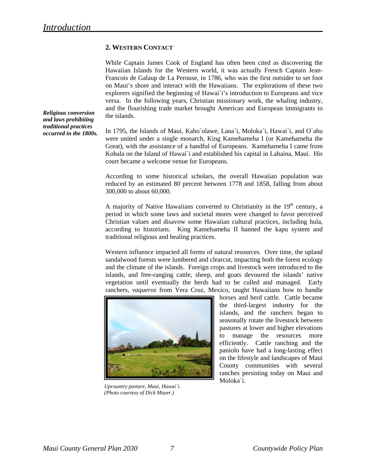## **2. WESTERN CONTACT**

While Captain James Cook of England has often been cited as discovering the Hawaiian Islands for the Western world, it was actually French Captain Jean-Francois de Galaup de La Perouse, in 1786, who was the first outsider to set foot on Maui's shore and interact with the Hawaiians. The explorations of these two explorers signified the beginning of Hawai`i's introduction to Europeans and vice versa. In the following years, Christian missionary work, the whaling industry, and the flourishing trade market brought American and European immigrants to the islands.

*Religious conversion and laws prohibiting traditional practices occurred in the 1800s.* 

In 1795, the Islands of Maui, Kaho`olawe, Lana`i, Moloka`i, Hawai`i, and O`ahu were united under a single monarch, King Kamehameha I (or Kamehameha the Great), with the assistance of a handful of Europeans. Kamehameha I came from Kohala on the Island of Hawai`i and established his capital in Lahaina, Maui. His court became a welcome venue for Europeans.

According to some historical scholars, the overall Hawaiian population was reduced by an estimated 80 percent between 1778 and 1858, falling from about 300,000 to about 60,000.

A majority of Native Hawaiians converted to Christianity in the  $19<sup>th</sup>$  century, a period in which some laws and societal mores were changed to favor perceived Christian values and disavow some Hawaiian cultural practices, including hula, according to historians. King Kamehameha II banned the kapu system and traditional religious and healing practices.

Western influence impacted all forms of natural resources. Over time, the upland sandalwood forests were lumbered and clearcut, impacting both the forest ecology and the climate of the islands. Foreign crops and livestock were introduced to the islands, and free-ranging cattle, sheep, and goats devoured the islands' native vegetation until eventually the herds had to be culled and managed. Early ranchers, *vaqueros* from Vera Cruz, Mexico, taught Hawaiians how to handle



*Upcountry pasture, Maui, Hawai`i. (Photo courtesy of Dick Mayer.)*

Moloka`i. horses and herd cattle. Cattle became the third-largest industry for the islands, and the ranchers began to seasonally rotate the livestock between pastures at lower and higher elevations to manage the resources more efficiently. Cattle ranching and the paniolo have had a long-lasting effect on the lifestyle and landscapes of Maui County communities with several ranches persisting today on Maui and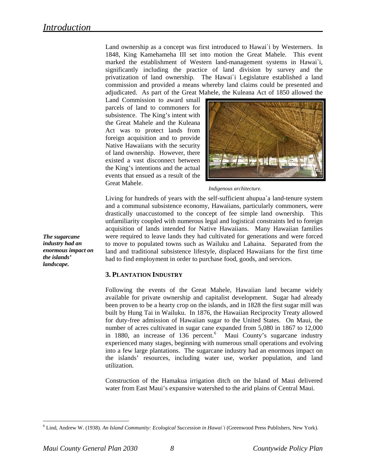Land ownership as a concept was first introduced to Hawai`i by Westerners. In 1848, King Kamehameha III set into motion the Great Mahele. This event marked the establishment of Western land-management systems in Hawai`i, significantly including the practice of land division by survey and the privatization of land ownership. The Hawai`i Legislature established a land commission and provided a means whereby land claims could be presented and adjudicated. As part of the Great Mahele, the Kuleana Act of 1850 allowed the

Land Commission to award small parcels of land to commoners for subsistence. The King's intent with the Great Mahele and the Kuleana Act was to protect lands from foreign acquisition and to provide Native Hawaiians with the security of land ownership. However, there existed a vast disconnect between the King's intentions and the actual events that ensued as a result of the Great Mahele.



*Indigenous architecture.* 

Living for hundreds of years with the self-sufficient ahupua`a land-tenure system and a communal subsistence economy, Hawaiians, particularly commoners, were drastically unaccustomed to the concept of fee simple land ownership. This unfamiliarity coupled with numerous legal and logistical constraints led to foreign acquisition of lands intended for Native Hawaiians. Many Hawaiian families were required to leave lands they had cultivated for generations and were forced to move to populated towns such as Wailuku and Lahaina. Separated from the land and traditional subsistence lifestyle, displaced Hawaiians for the first time had to find employment in order to purchase food, goods, and services.

## **3. PLANTATION INDUSTRY**

Following the events of the Great Mahele, Hawaiian land became widely available for private ownership and capitalist development. Sugar had already been proven to be a hearty crop on the islands, and in 1828 the first sugar mill was built by Hung Tai in Wailuku. In 1876, the Hawaiian Reciprocity Treaty allowed for duty-free admission of Hawaiian sugar to the United States. On Maui, the number of acres cultivated in sugar cane expanded from 5,080 in 1867 to 12,000 in 1880, an increase of 13[6](#page-7-0) percent.<sup>6</sup> Maui County's sugarcane industry experienced many stages, beginning with numerous small operations and evolving into a few large plantations. The sugarcane industry had an enormous impact on the islands' resources, including water use, worker population, and land utilization.

Construction of the Hamakua irrigation ditch on the Island of Maui delivered water from East Maui's expansive watershed to the arid plains of Central Maui.

*industry had an enormous impact on the islands' landscape.* 

*The sugarcane* 

 $\overline{a}$ 

<span id="page-7-0"></span><sup>6</sup> Lind, Andrew W. (1938). *An Island Community: Ecological Succession in Hawai`i* (Greenwood Press Publishers, New York).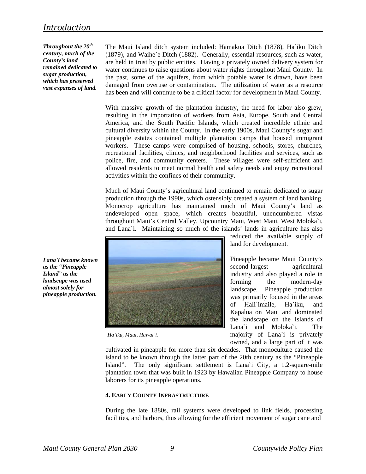*Throughout the 20th century, much of the County's land remained dedicated to sugar production, which has preserved vast expanses of land.*  The Maui Island ditch system included: Hamakua Ditch (1878), Ha`iku Ditch (1879), and Waihe`e Ditch (1882). Generally, essential resources, such as water, are held in trust by public entities. Having a privately owned delivery system for water continues to raise questions about water rights throughout Maui County. In the past, some of the aquifers, from which potable water is drawn, have been damaged from overuse or contamination. The utilization of water as a resource has been and will continue to be a critical factor for development in Maui County.

With massive growth of the plantation industry, the need for labor also grew, resulting in the importation of workers from Asia, Europe, South and Central America, and the South Pacific Islands, which created incredible ethnic and cultural diversity within the County. In the early 1900s, Maui County's sugar and pineapple estates contained multiple plantation camps that housed immigrant workers. These camps were comprised of housing, schools, stores, churches, recreational facilities, clinics, and neighborhood facilities and services, such as police, fire, and community centers. These villages were self-sufficient and allowed residents to meet normal health and safety needs and enjoy recreational activities within the confines of their community.

Much of Maui County's agricultural land continued to remain dedicated to sugar production through the 1990s, which ostensibly created a system of land banking. Monocrop agriculture has maintained much of Maui County's land as undeveloped open space, which creates beautiful, unencumbered vistas throughout Maui's Central Valley, Upcountry Maui, West Maui, West Moloka`i, and Lana`i. Maintaining so much of the islands' lands in agriculture has also



*Ha`iku, Maui, Hawai`i.* 

reduced the available supply of land for development.

Pineapple became Maui County's second-largest agricultural industry and also played a role in forming the modern-day landscape. Pineapple production was primarily focused in the areas of Hali`imaile, Ha`iku, and Kapalua on Maui and dominated the landscape on the Islands of Lana`i and Moloka`i. The majority of Lana`i is privately owned, and a large part of it was

cultivated in pineapple for more than six decades. That monoculture caused the island to be known through the latter part of the 20th century as the "Pineapple Island". The only significant settlement is Lana`i City, a 1.2-square-mile plantation town that was built in 1923 by Hawaiian Pineapple Company to house laborers for its pineapple operations.

## **. EARLY COUNTY INFRASTRUCTURE 4**

facilities, and harbors, thus allowing for the efficient movement of sugar cane and During the late 1880s, rail systems were developed to link fields, processing

*as the "Pineapple Island" as the landscape was used almost solely for pineapple production.* 

*Lana`i became known*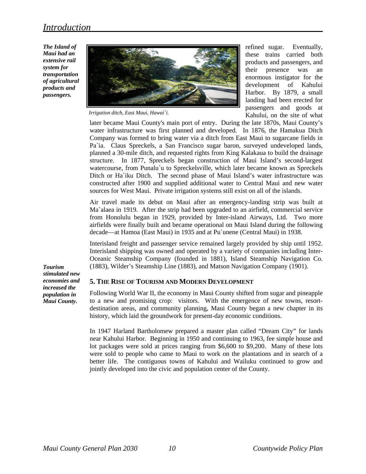*The Island of Maui had an extensive rail system for transportation of agricultural products and passengers.* 



*Irrigation ditch, East Maui, Hawai`i.* 

refined sugar. Eventually, these trains carried both products and passengers, and their presence was an enormous instigator for the development of Kahului Harbor. By 1879, a small landing had been erected for passengers and goods at Kahului, on the site of what

later became Maui County's main port of entry. During the late 1870s, Maui County's water infrastructure was first planned and developed. In 1876, the Hamakua Ditch Company was formed to bring water via a ditch from East Maui to sugarcane fields in Pa`ia. Claus Spreckels, a San Francisco sugar baron, surveyed undeveloped lands, planned a 30-mile ditch, and requested rights from King Kalakaua to build the drainage structure. In 1877, Spreckels began construction of Maui Island's second-largest watercourse, from Punalu`u to Spreckelsville, which later became known as Spreckels Ditch or Ha`iku Ditch. The second phase of Maui Island's water infrastructure was constructed after 1900 and supplied additional water to Central Maui and new water sources for West Maui. Private irrigation systems still exist on all of the islands.

Air travel made its debut on Maui after an emergency-landing strip was built at Ma`alaea in 1919. After the strip had been upgraded to an airfield, commercial service from Honolulu began in 1929, provided by Inter-island Airways, Ltd. Two more airfields were finally built and became operational on Maui Island during the following decade—at Hamoa (East Maui) in 1935 and at Pu`unene (Central Maui) in 1938.

Interisland freight and passenger service remained largely provided by ship until 1952. Interisland shipping was owned and operated by a variety of companies including Inter-Oceanic Steamship Company (founded in 1881), Island Steamship Navigation Co. (1883), Wilder's Steamship Line (1883), and Matson Navigation Company (1901).

**5. THE RISE OF TOURISM AND MODERN DEVELOPMENT**

Following World War II, the economy in Maui County shifted from sugar and pineapple to a new and promising crop: visitors. With the emergence of new towns, resortdestination areas, and community planning, Maui County began a new chapter in its history, which laid the groundwork for present-day economic conditions.

In 1947 Harland Bartholomew prepared a master plan called "Dream City" for lands near Kahului Harbor. Beginning in 1950 and continuing to 1963, fee simple house and lot packages were sold at prices ranging from \$6,600 to \$9,200. Many of these lots were sold to people who came to Maui to work on the plantations and in search of a better life. The contiguous towns of Kahului and Wailuku continued to grow and jointly developed into the civic and population center of the County.

*Tourism stimulated new economies and increased the population in Maui County.*